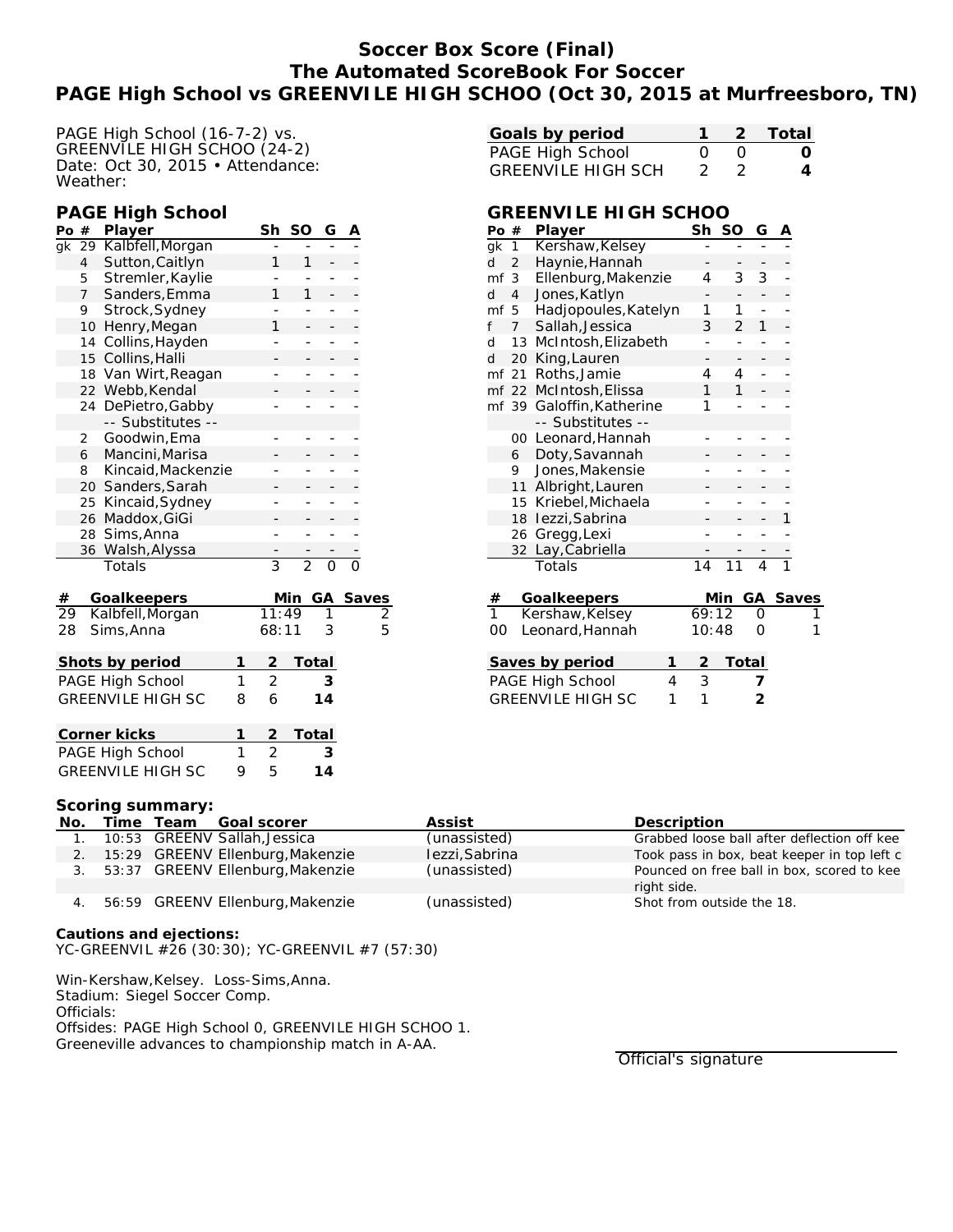## **Soccer Box Score (Final) The Automated ScoreBook For Soccer PAGE High School vs GREENVILE HIGH SCHOO (Oct 30, 2015 at Murfreesboro, TN)**

PAGE High School (16-7-2) vs. GREENVILE HIGH SCHOO (24-2) Date: Oct 30, 2015 • Attendance: Weather:

#### **PAGE High School**

| Po $#$          |                | Player                   |   | Sh             | SO             | G        | Α                    |                          |
|-----------------|----------------|--------------------------|---|----------------|----------------|----------|----------------------|--------------------------|
| gk              | 29             | Kalbfell, Morgan         |   |                |                |          |                      |                          |
|                 | $\overline{4}$ | Sutton, Caitlyn          |   | 1              | 1              |          |                      |                          |
|                 | 5              | Stremler, Kaylie         |   |                |                | -        |                      |                          |
|                 | $\overline{7}$ | Sanders, Emma            |   | 1              | 1              |          |                      |                          |
|                 | 9              | Strock, Sydney           |   |                |                | -        |                      |                          |
|                 | 10             | Henry, Megan             |   | 1              |                | -        |                      |                          |
|                 | 14             | Collins, Hayden          |   |                |                | -        |                      |                          |
|                 | 15             | Collins, Halli           |   |                |                |          |                      |                          |
|                 | 18             | Van Wirt, Reagan         |   |                |                |          |                      |                          |
|                 |                | 22 Webb, Kendal          |   |                |                |          |                      |                          |
|                 | 24             | DePietro, Gabby          |   |                |                |          |                      |                          |
|                 |                | -- Substitutes --        |   |                |                |          |                      |                          |
|                 | $\overline{2}$ | Goodwin, Ema             |   |                |                | -        |                      |                          |
|                 | 6              | Mancini, Marisa          |   |                |                |          |                      |                          |
|                 | 8              | Kincaid, Mackenzie       |   |                |                |          |                      |                          |
|                 |                | 20 Sanders, Sarah        |   |                |                |          |                      |                          |
|                 | 25             | Kincaid, Sydney          |   |                |                |          |                      |                          |
|                 | 26             | Maddox, GiGi             |   |                |                |          |                      |                          |
|                 | 28             | Sims, Anna               |   | -              |                | -        |                      |                          |
|                 | 36             | Walsh, Alyssa            |   |                |                |          |                      |                          |
|                 |                | Totals                   |   | $\overline{3}$ | $\overline{2}$ | $\Omega$ | $\bar{\bar{\sigma}}$ |                          |
| $\#$            |                | Goalkeepers              |   |                | Min            | GА       |                      |                          |
| $\overline{29}$ |                | Kalbfell, Morgan         |   | 11:49          |                | 1        |                      | $\frac{\text{Saves}}{2}$ |
| 28              |                | Sims, Anna               |   | 68:11          |                | 3        |                      | 5                        |
|                 |                | Shots by period          | 1 | $\overline{2}$ |                | Total    |                      |                          |
|                 |                | PAGE High School         | 1 | $\overline{2}$ |                | 3        |                      |                          |
|                 |                | <b>GREENVILE HIGH SC</b> | 8 | 6              |                | 14       |                      |                          |
|                 |                |                          |   |                |                |          |                      |                          |
|                 |                | Corner kicks             | 1 | $\overline{2}$ |                | Total    |                      |                          |
|                 |                | PAGE High School         | 1 | $\overline{2}$ |                | 3        |                      |                          |
|                 |                | <b>GREENVILE HIGH SC</b> | 9 | 5              |                | 14       |                      |                          |

| Goals by period           |          |       | 2 Total          |
|---------------------------|----------|-------|------------------|
| PAGE High School          | $\Omega$ | - ( ) | $\left( \right)$ |
| <b>GREENVILE HIGH SCH</b> | - 2 -    | - 2   |                  |

### **GREENVILE HIGH SCHOO**

| Po #                  |                               | Player                    | Sh             | <b>SO</b>      | G  | А |       |
|-----------------------|-------------------------------|---------------------------|----------------|----------------|----|---|-------|
| gk                    | $\mathbf{1}$                  | Kershaw, Kelsey           |                |                |    |   |       |
| d                     | $\overline{2}$                | Haynie, Hannah            |                |                |    |   |       |
| mf                    | 3                             | Ellenburg, Makenzie       |                | 3              | 3  |   |       |
| d                     | $\overline{4}$                | Jones, Katlyn             |                |                |    |   |       |
| mf                    | 5                             | Hadjopoules, Katelyn      | 1              | 1              |    |   |       |
| f                     | $\overline{7}$                | Sallah, Jessica           | 3              | $\overline{2}$ | 1  |   |       |
| d                     | 13                            | McIntosh, Elizabeth       |                |                |    |   |       |
| d                     | 20                            | King, Lauren              |                |                |    |   |       |
| mf                    | 21                            | Roths, Jamie              | 4              | 4              |    |   |       |
| mf 22                 |                               | McIntosh, Elissa          | 1              | 1              |    |   |       |
|                       |                               | mf 39 Galoffin, Katherine | 1              |                |    |   |       |
|                       |                               | -- Substitutes --         |                |                |    |   |       |
|                       | 00                            | Leonard, Hannah           |                |                |    |   |       |
|                       | 6                             | Doty, Savannah            |                |                |    |   |       |
|                       | 9                             | Jones, Makensie           |                |                |    |   |       |
|                       | 11                            | Albright, Lauren          |                |                |    |   |       |
|                       | 15                            | Kriebel, Michaela         |                |                |    |   |       |
|                       | 18                            | lezzi, Sabrina            |                |                |    | 1 |       |
|                       | 26                            | Gregg, Lexi               |                |                |    |   |       |
|                       | 32                            | Lay, Cabriella            |                |                |    |   |       |
|                       |                               | Totals                    | 14             | 11             | 4  | 1 |       |
|                       |                               |                           |                |                |    |   |       |
| $\frac{\#}{1}$        |                               | Goalkeepers               |                | Min            | GА |   | Saves |
|                       |                               | Kershaw, Kelsey           | 69:12          |                | O  |   |       |
| OO                    |                               | Leonard, Hannah           | 10:48          |                | 0  |   | 1     |
|                       |                               |                           |                |                |    |   |       |
|                       |                               | 1<br>Saves by period      | $\overline{2}$ | <b>Total</b>   |    |   |       |
| PAGE High School<br>4 |                               | 3                         |                | 7              |    |   |       |
|                       | <b>GREENVILE HIGH SC</b><br>1 |                           | 1              |                | 2  |   |       |
|                       |                               |                           |                |                |    |   |       |

#### **Scoring summary:**

| No. | Time Team | Goal scorer                         | Assist         | Description                                 |
|-----|-----------|-------------------------------------|----------------|---------------------------------------------|
| 1.  |           | 10:53 GREENV Sallah, Jessica        | (unassisted)   | Grabbed loose ball after deflection off kee |
|     |           | 2. 15:29 GREENV Ellenburg, Makenzie | lezzi, Sabrina | Took pass in box, beat keeper in top left c |
|     |           | 3. 53:37 GREENV Ellenburg, Makenzie | (unassisted)   | Pounced on free ball in box, scored to kee  |
|     |           |                                     |                | right side.                                 |
| 4.  |           | 56:59 GREENV Ellenburg, Makenzie    | (unassisted)   | Shot from outside the 18.                   |
|     |           |                                     |                |                                             |

**Cautions and ejections:** YC-GREENVIL #26 (30:30); YC-GREENVIL #7 (57:30)

Win-Kershaw,Kelsey. Loss-Sims,Anna. Stadium: Siegel Soccer Comp. Officials: Offsides: PAGE High School 0, GREENVILE HIGH SCHOO 1. Greeneville advances to championship match in A-AA.

Official's signature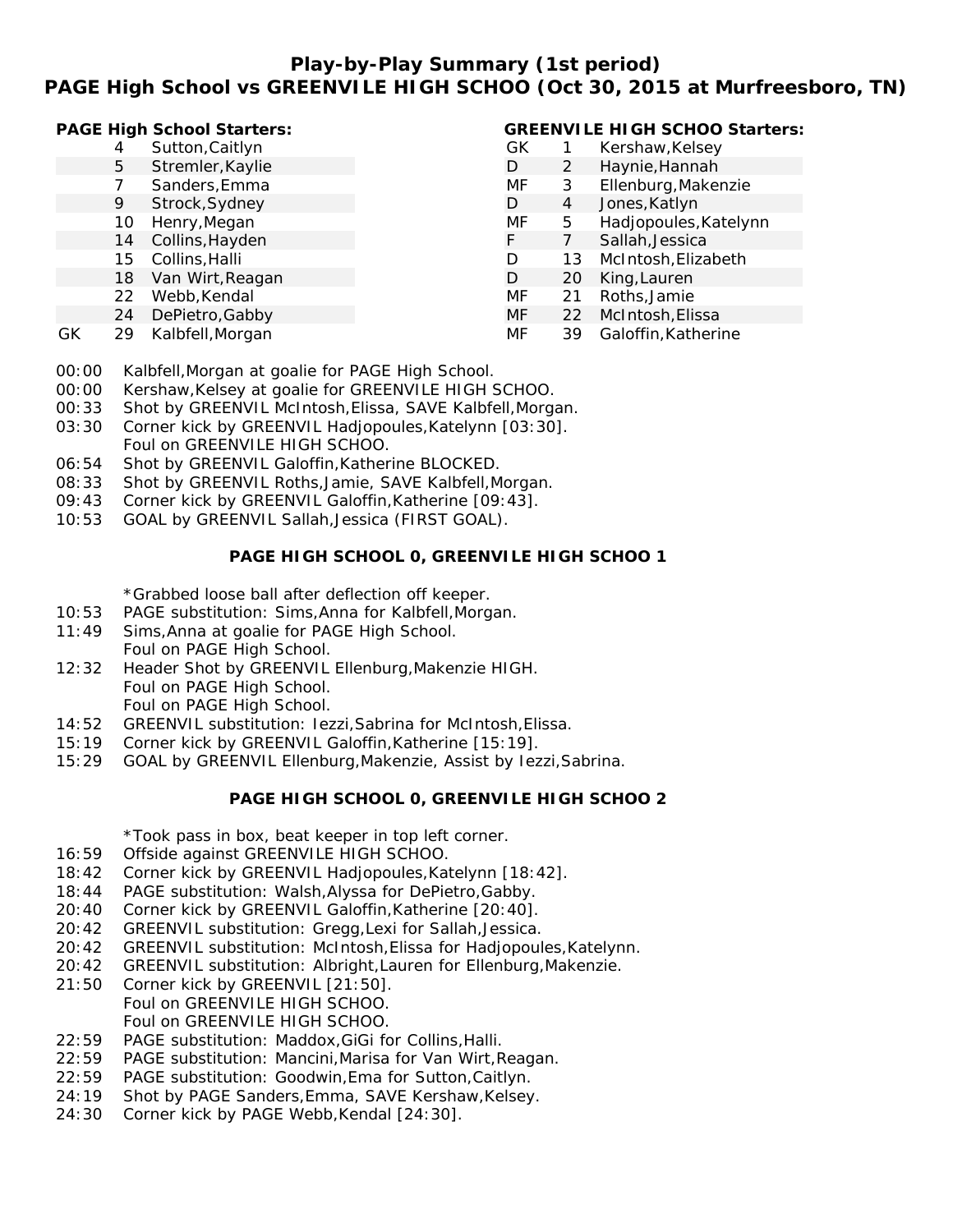## **Play-by-Play Summary (1st period) PAGE High School vs GREENVILE HIGH SCHOO (Oct 30, 2015 at Murfreesboro, TN)**

| PAGE High School Starters: |
|----------------------------|
|----------------------------|

|    |    | PAGE High School Starters: |    |    | <b>GREENVILE HIGH SCHOO Starters:</b> |
|----|----|----------------------------|----|----|---------------------------------------|
|    | 4  | Sutton, Caitlyn            | GК |    | Kershaw, Kelsey                       |
|    | 5  | Stremler, Kaylie           | D  | 2  | Haynie, Hannah                        |
|    |    | Sanders, Emma              | MF | 3  | Ellenburg, Makenzie                   |
|    | 9  | Strock, Sydney             | D  | 4  | Jones, Katlyn                         |
|    | 10 | Henry, Megan               | МF | 5. | Hadjopoules, Katelynn                 |
|    | 14 | Collins, Hayden            | F  |    | Sallah, Jessica                       |
|    | 15 | Collins, Halli             | D  | 13 | McIntosh, Elizabeth                   |
|    | 18 | Van Wirt, Reagan           | D  | 20 | King, Lauren                          |
|    | 22 | Webb, Kendal               | МF | 21 | Roths, Jamie                          |
|    | 24 | DePietro, Gabby            | MF | 22 | McIntosh, Elissa                      |
| GK | 29 | Kalbfell, Morgan           | МF | 39 | Galoffin, Katherine                   |

- 00:00 Kalbfell,Morgan at goalie for PAGE High School.
- 00:00 Kershaw,Kelsey at goalie for GREENVILE HIGH SCHOO.
- 00:33 Shot by GREENVIL McIntosh,Elissa, SAVE Kalbfell,Morgan.
- 03:30 Corner kick by GREENVIL Hadjopoules,Katelynn [03:30]. Foul on GREENVILE HIGH SCHOO.
- 06:54 Shot by GREENVIL Galoffin,Katherine BLOCKED.
- 08:33 Shot by GREENVIL Roths,Jamie, SAVE Kalbfell,Morgan.
- 09:43 Corner kick by GREENVIL Galoffin,Katherine [09:43].
- 10:53 GOAL by GREENVIL Sallah,Jessica (FIRST GOAL).

### **PAGE HIGH SCHOOL 0, GREENVILE HIGH SCHOO 1**

\*Grabbed loose ball after deflection off keeper.

- 10:53 PAGE substitution: Sims,Anna for Kalbfell,Morgan.
- 11:49 Sims,Anna at goalie for PAGE High School. Foul on PAGE High School.
- 12:32 Header Shot by GREENVIL Ellenburg,Makenzie HIGH. Foul on PAGE High School. Foul on PAGE High School.
- 14:52 GREENVIL substitution: Iezzi,Sabrina for McIntosh,Elissa.
- 15:19 Corner kick by GREENVIL Galoffin,Katherine [15:19].
- 15:29 GOAL by GREENVIL Ellenburg,Makenzie, Assist by Iezzi,Sabrina.

#### **PAGE HIGH SCHOOL 0, GREENVILE HIGH SCHOO 2**

\*Took pass in box, beat keeper in top left corner.

- 16:59 Offside against GREENVILE HIGH SCHOO.
- 18:42 Corner kick by GREENVIL Hadjopoules,Katelynn [18:42].
- 18:44 PAGE substitution: Walsh,Alyssa for DePietro,Gabby.
- 20:40 Corner kick by GREENVIL Galoffin,Katherine [20:40].
- 20:42 GREENVIL substitution: Gregg,Lexi for Sallah,Jessica.
- 20:42 GREENVIL substitution: McIntosh,Elissa for Hadjopoules,Katelynn.
- 20:42 GREENVIL substitution: Albright,Lauren for Ellenburg,Makenzie.
- 21:50 Corner kick by GREENVIL [21:50]. Foul on GREENVILE HIGH SCHOO. Foul on GREENVILE HIGH SCHOO.
- 22:59 PAGE substitution: Maddox,GiGi for Collins,Halli.
- 22:59 PAGE substitution: Mancini,Marisa for Van Wirt,Reagan.
- 22:59 PAGE substitution: Goodwin,Ema for Sutton,Caitlyn.
- 24:19 Shot by PAGE Sanders, Emma, SAVE Kershaw, Kelsey.
- 24:30 Corner kick by PAGE Webb,Kendal [24:30].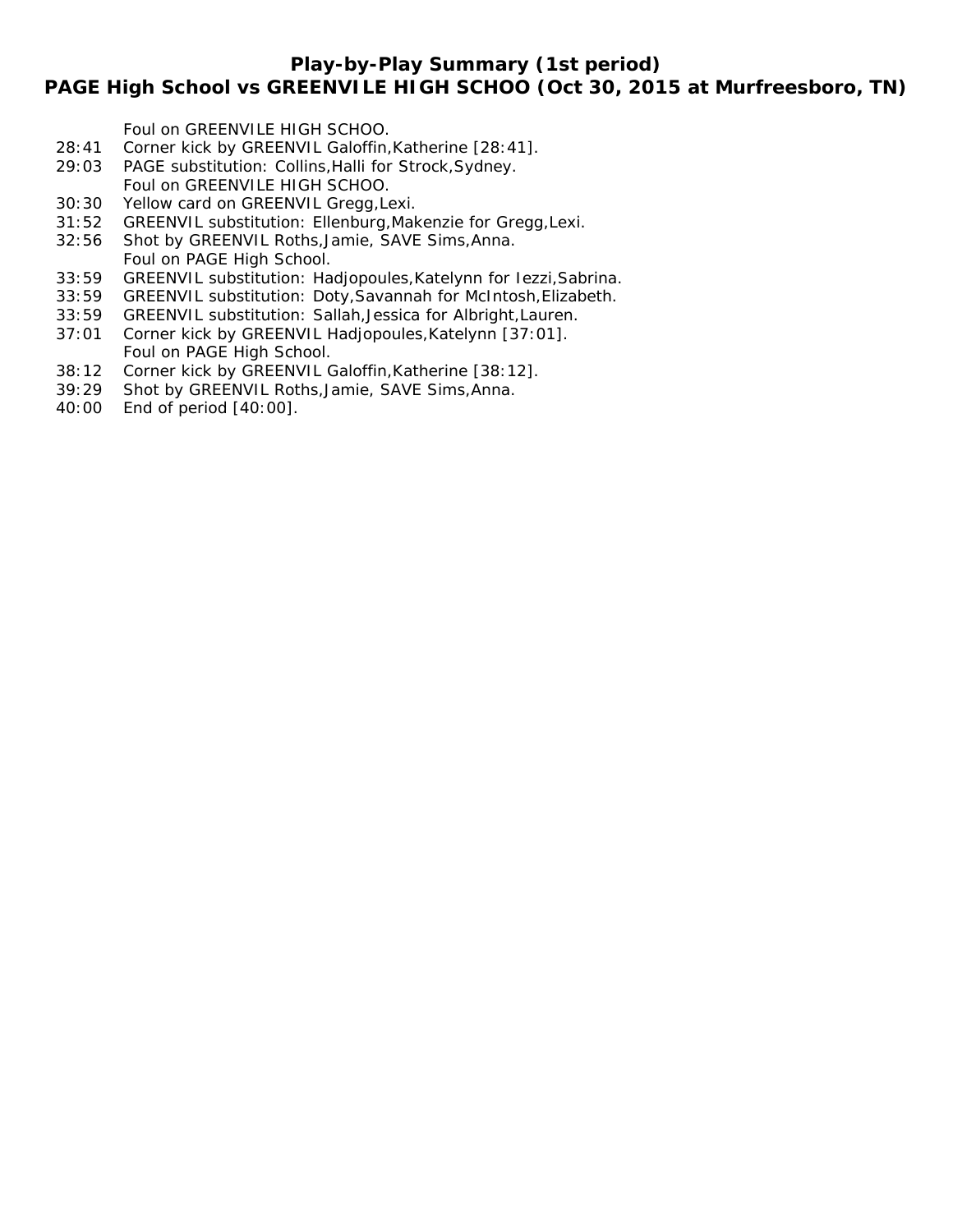### **Play-by-Play Summary (1st period)**

## **PAGE High School vs GREENVILE HIGH SCHOO (Oct 30, 2015 at Murfreesboro, TN)**

Foul on GREENVILE HIGH SCHOO.

- 28:41 Corner kick by GREENVIL Galoffin,Katherine [28:41].
- 29:03 PAGE substitution: Collins,Halli for Strock,Sydney. Foul on GREENVILE HIGH SCHOO.
- 30:30 Yellow card on GREENVIL Gregg,Lexi.
- 31:52 GREENVIL substitution: Ellenburg,Makenzie for Gregg,Lexi.
- 32:56 Shot by GREENVIL Roths,Jamie, SAVE Sims,Anna. Foul on PAGE High School.
- 33:59 GREENVIL substitution: Hadjopoules,Katelynn for Iezzi,Sabrina.
- 33:59 GREENVIL substitution: Doty,Savannah for McIntosh,Elizabeth.
- 33:59 GREENVIL substitution: Sallah,Jessica for Albright,Lauren.
- 37:01 Corner kick by GREENVIL Hadjopoules,Katelynn [37:01]. Foul on PAGE High School.
- 38:12 Corner kick by GREENVIL Galoffin,Katherine [38:12].
- 39:29 Shot by GREENVIL Roths,Jamie, SAVE Sims,Anna.
- 40:00 End of period [40:00].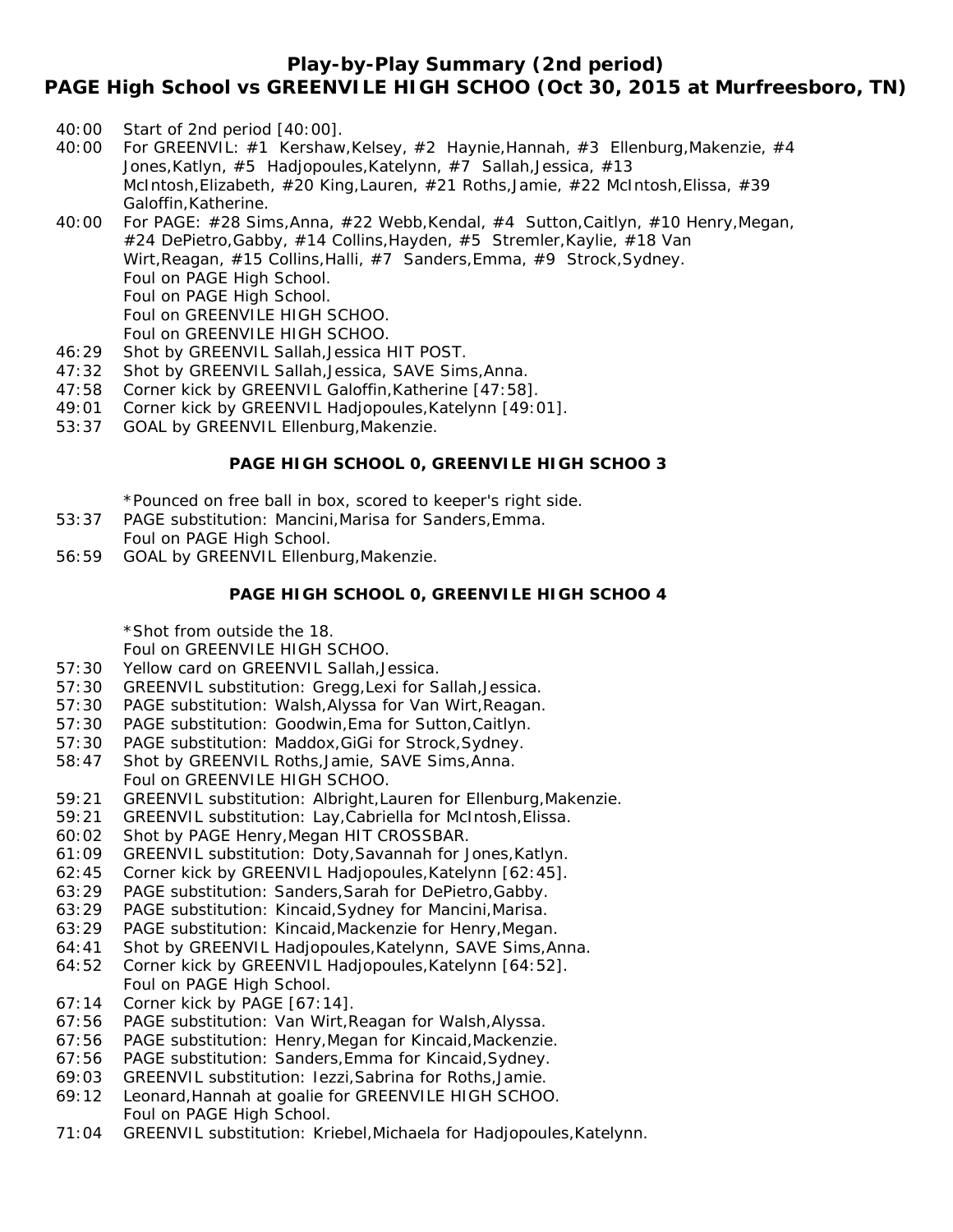### **Play-by-Play Summary (2nd period)**

**PAGE High School vs GREENVILE HIGH SCHOO (Oct 30, 2015 at Murfreesboro, TN)**

- 40:00 Start of 2nd period [40:00].
- 40:00 For GREENVIL: #1 Kershaw,Kelsey, #2 Haynie,Hannah, #3 Ellenburg,Makenzie, #4 Jones,Katlyn, #5 Hadjopoules,Katelynn, #7 Sallah,Jessica, #13 McIntosh,Elizabeth, #20 King,Lauren, #21 Roths,Jamie, #22 McIntosh,Elissa, #39 Galoffin,Katherine.
- 40:00 For PAGE: #28 Sims,Anna, #22 Webb,Kendal, #4 Sutton,Caitlyn, #10 Henry,Megan, #24 DePietro,Gabby, #14 Collins,Hayden, #5 Stremler,Kaylie, #18 Van Wirt, Reagan, #15 Collins, Halli, #7 Sanders, Emma, #9 Strock, Sydney. Foul on PAGE High School. Foul on PAGE High School. Foul on GREENVILE HIGH SCHOO. Foul on GREENVILE HIGH SCHOO.
- 46:29 Shot by GREENVIL Sallah,Jessica HIT POST.
- 47:32 Shot by GREENVIL Sallah,Jessica, SAVE Sims,Anna.
- 47:58 Corner kick by GREENVIL Galoffin,Katherine [47:58].
- 49:01 Corner kick by GREENVIL Hadjopoules,Katelynn [49:01].
- 53:37 GOAL by GREENVIL Ellenburg,Makenzie.

#### **PAGE HIGH SCHOOL 0, GREENVILE HIGH SCHOO 3**

\*Pounced on free ball in box, scored to keeper's right side.

- 53:37 PAGE substitution: Mancini,Marisa for Sanders,Emma. Foul on PAGE High School.
- 56:59 GOAL by GREENVIL Ellenburg,Makenzie.

#### **PAGE HIGH SCHOOL 0, GREENVILE HIGH SCHOO 4**

\*Shot from outside the 18.

Foul on GREENVILE HIGH SCHOO.

- 57:30 Yellow card on GREENVIL Sallah,Jessica.
- 57:30 GREENVIL substitution: Gregg,Lexi for Sallah,Jessica.
- 57:30 PAGE substitution: Walsh,Alyssa for Van Wirt,Reagan.
- 57:30 PAGE substitution: Goodwin,Ema for Sutton,Caitlyn.
- 57:30 PAGE substitution: Maddox,GiGi for Strock,Sydney.
- 58:47 Shot by GREENVIL Roths,Jamie, SAVE Sims,Anna. Foul on GREENVILE HIGH SCHOO.
- 59:21 GREENVIL substitution: Albright,Lauren for Ellenburg,Makenzie.
- 59:21 GREENVIL substitution: Lay,Cabriella for McIntosh,Elissa.
- 60:02 Shot by PAGE Henry,Megan HIT CROSSBAR.
- 61:09 GREENVIL substitution: Doty,Savannah for Jones,Katlyn.
- 62:45 Corner kick by GREENVIL Hadjopoules,Katelynn [62:45].
- 63:29 PAGE substitution: Sanders,Sarah for DePietro,Gabby.
- 63:29 PAGE substitution: Kincaid,Sydney for Mancini,Marisa.
- 63:29 PAGE substitution: Kincaid,Mackenzie for Henry,Megan.
- 64:41 Shot by GREENVIL Hadjopoules,Katelynn, SAVE Sims,Anna.
- 64:52 Corner kick by GREENVIL Hadjopoules,Katelynn [64:52]. Foul on PAGE High School.
- 67:14 Corner kick by PAGE [67:14].
- 67:56 PAGE substitution: Van Wirt,Reagan for Walsh,Alyssa.
- 67:56 PAGE substitution: Henry,Megan for Kincaid,Mackenzie.
- 67:56 PAGE substitution: Sanders,Emma for Kincaid,Sydney.
- 69:03 GREENVIL substitution: Iezzi,Sabrina for Roths,Jamie.
- 69:12 Leonard,Hannah at goalie for GREENVILE HIGH SCHOO. Foul on PAGE High School.
- 71:04 GREENVIL substitution: Kriebel,Michaela for Hadjopoules,Katelynn.